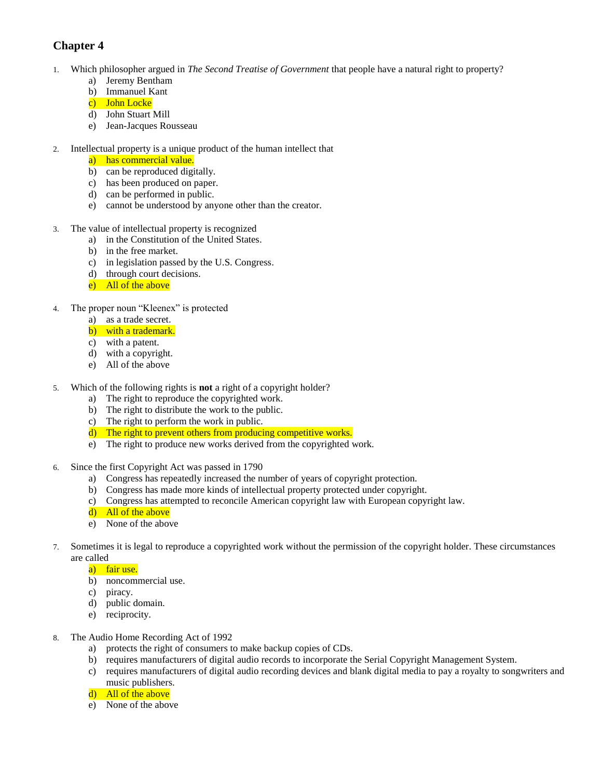## **Chapter 4**

- 1. Which philosopher argued in *The Second Treatise of Government* that people have a natural right to property?
	- a) Jeremy Bentham
	- b) Immanuel Kant
	- c) John Locke
	- d) John Stuart Mill
	- e) Jean-Jacques Rousseau
- 2. Intellectual property is a unique product of the human intellect that
	- a) has commercial value.
	- b) can be reproduced digitally.
	- c) has been produced on paper.
	- d) can be performed in public.
	- e) cannot be understood by anyone other than the creator.
- 3. The value of intellectual property is recognized
	- a) in the Constitution of the United States.
	- b) in the free market.
	- c) in legislation passed by the U.S. Congress.
	- d) through court decisions.
	- e) All of the above
- 4. The proper noun "Kleenex" is protected
	- a) as a trade secret.
		- b) with a trademark.
		- c) with a patent.
		- d) with a copyright.
		- e) All of the above
- 5. Which of the following rights is **not** a right of a copyright holder?
	- a) The right to reproduce the copyrighted work.
	- b) The right to distribute the work to the public.
	- c) The right to perform the work in public.
	- d) The right to prevent others from producing competitive works.
	- e) The right to produce new works derived from the copyrighted work.
- 6. Since the first Copyright Act was passed in 1790
	- a) Congress has repeatedly increased the number of years of copyright protection.
	- b) Congress has made more kinds of intellectual property protected under copyright.
	- c) Congress has attempted to reconcile American copyright law with European copyright law.
	- d) All of the above
	- e) None of the above
- 7. Sometimes it is legal to reproduce a copyrighted work without the permission of the copyright holder. These circumstances are called
	- a) fair use.
	- b) noncommercial use.
	- c) piracy.
	- d) public domain.
	- e) reciprocity.
- 8. The Audio Home Recording Act of 1992
	- a) protects the right of consumers to make backup copies of CDs.
	- b) requires manufacturers of digital audio records to incorporate the Serial Copyright Management System.
	- c) requires manufacturers of digital audio recording devices and blank digital media to pay a royalty to songwriters and music publishers.
	- d) All of the above
	- e) None of the above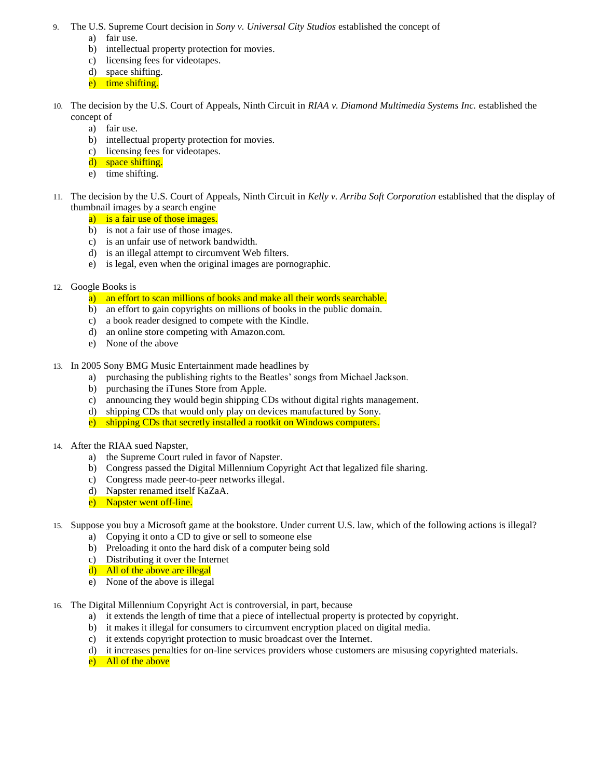- 9. The U.S. Supreme Court decision in *Sony v. Universal City Studios* established the concept of
	- a) fair use.
	- b) intellectual property protection for movies.
	- c) licensing fees for videotapes.
	- d) space shifting.
	- e) time shifting.
- 10. The decision by the U.S. Court of Appeals, Ninth Circuit in *RIAA v. Diamond Multimedia Systems Inc.* established the concept of
	- a) fair use.
	- b) intellectual property protection for movies.
	- c) licensing fees for videotapes.
	- d) space shifting.
	- e) time shifting.
- 11. The decision by the U.S. Court of Appeals, Ninth Circuit in *Kelly v. Arriba Soft Corporation* established that the display of thumbnail images by a search engine
	- a) is a fair use of those images.
	- b) is not a fair use of those images.
	- c) is an unfair use of network bandwidth.
	- d) is an illegal attempt to circumvent Web filters.
	- e) is legal, even when the original images are pornographic.
- 12. Google Books is

a) an effort to scan millions of books and make all their words searchable.

- b) an effort to gain copyrights on millions of books in the public domain.
- c) a book reader designed to compete with the Kindle.
- d) an online store competing with Amazon.com.
- e) None of the above
- 13. In 2005 Sony BMG Music Entertainment made headlines by
	- a) purchasing the publishing rights to the Beatles' songs from Michael Jackson.
	- b) purchasing the iTunes Store from Apple.
	- c) announcing they would begin shipping CDs without digital rights management.
	- d) shipping CDs that would only play on devices manufactured by Sony.
	- e) shipping CDs that secretly installed a rootkit on Windows computers.
- 14. After the RIAA sued Napster,
	- a) the Supreme Court ruled in favor of Napster.
	- b) Congress passed the Digital Millennium Copyright Act that legalized file sharing.
	- c) Congress made peer-to-peer networks illegal.
	- d) Napster renamed itself KaZaA.
	- e) Napster went off-line.
- 15. Suppose you buy a Microsoft game at the bookstore. Under current U.S. law, which of the following actions is illegal?
	- a) Copying it onto a CD to give or sell to someone else
	- b) Preloading it onto the hard disk of a computer being sold
	- c) Distributing it over the Internet
	- d) All of the above are illegal
	- e) None of the above is illegal
- 16. The Digital Millennium Copyright Act is controversial, in part, because
	- a) it extends the length of time that a piece of intellectual property is protected by copyright.
	- b) it makes it illegal for consumers to circumvent encryption placed on digital media.
	- c) it extends copyright protection to music broadcast over the Internet.
	- d) it increases penalties for on-line services providers whose customers are misusing copyrighted materials.
	- e) All of the above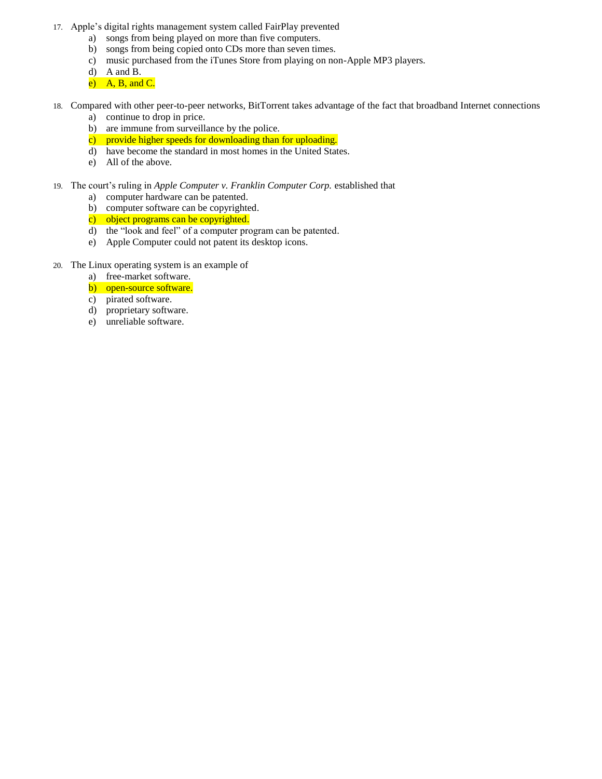- 17. Apple's digital rights management system called FairPlay prevented
	- a) songs from being played on more than five computers.
	- b) songs from being copied onto CDs more than seven times.
	- c) music purchased from the iTunes Store from playing on non-Apple MP3 players.
	- d) A and B.
	- $e)$  A, B, and C.
- 18. Compared with other peer-to-peer networks, BitTorrent takes advantage of the fact that broadband Internet connections
	- a) continue to drop in price.
	- b) are immune from surveillance by the police.
	- c) provide higher speeds for downloading than for uploading.
	- d) have become the standard in most homes in the United States.
	- e) All of the above.
- 19. The court's ruling in *Apple Computer v. Franklin Computer Corp.* established that
	- a) computer hardware can be patented.
	- b) computer software can be copyrighted.
	- c) object programs can be copyrighted.
	- d) the "look and feel" of a computer program can be patented.
	- e) Apple Computer could not patent its desktop icons.
- 20. The Linux operating system is an example of
	- a) free-market software.
	- b) open-source software.
	- c) pirated software.
	- d) proprietary software.
	- e) unreliable software.